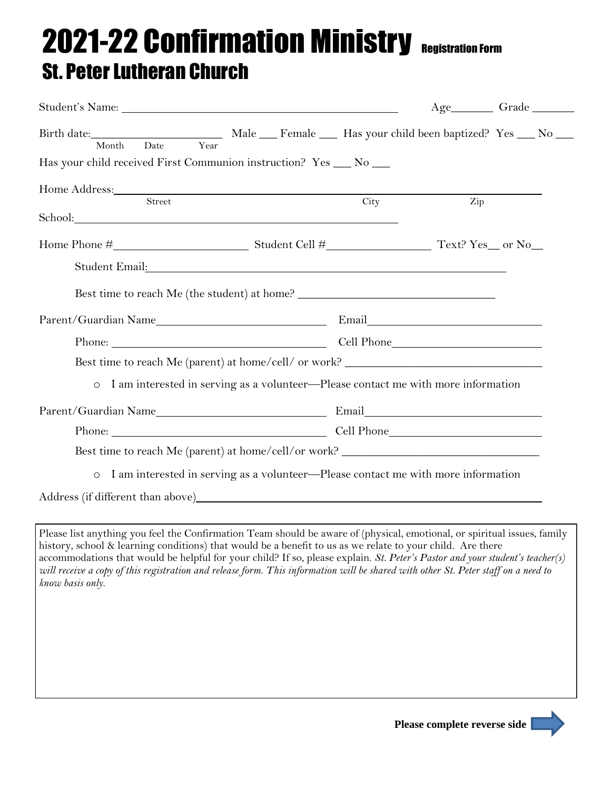## 2021-22 Confirmation Ministry Registration Form St. Peter Lutheran Church

|                                                                                                                                                                                                                                                                                                                                                                                                                                                                                                                                  |  |     | Age__________Grade __________ |
|----------------------------------------------------------------------------------------------------------------------------------------------------------------------------------------------------------------------------------------------------------------------------------------------------------------------------------------------------------------------------------------------------------------------------------------------------------------------------------------------------------------------------------|--|-----|-------------------------------|
| Year<br>Date<br>Month<br>Has your child received First Communion instruction? Yes __ No __                                                                                                                                                                                                                                                                                                                                                                                                                                       |  |     |                               |
|                                                                                                                                                                                                                                                                                                                                                                                                                                                                                                                                  |  | Zip |                               |
| School: Note that the second state of the second state of the second state of the second state of the second state of the second state of the second state of the second state of the second state of the second state of the                                                                                                                                                                                                                                                                                                    |  |     |                               |
|                                                                                                                                                                                                                                                                                                                                                                                                                                                                                                                                  |  |     |                               |
|                                                                                                                                                                                                                                                                                                                                                                                                                                                                                                                                  |  |     |                               |
| Best time to reach Me (the student) at home? ___________________________________                                                                                                                                                                                                                                                                                                                                                                                                                                                 |  |     |                               |
|                                                                                                                                                                                                                                                                                                                                                                                                                                                                                                                                  |  |     |                               |
| Phone: Cell Phone Cell Phone                                                                                                                                                                                                                                                                                                                                                                                                                                                                                                     |  |     |                               |
| Best time to reach Me (parent) at home/cell/ or work? __________________________                                                                                                                                                                                                                                                                                                                                                                                                                                                 |  |     |                               |
| I am interested in serving as a volunteer-Please contact me with more information<br>$\circ$                                                                                                                                                                                                                                                                                                                                                                                                                                     |  |     |                               |
|                                                                                                                                                                                                                                                                                                                                                                                                                                                                                                                                  |  |     |                               |
| Phone: Cell Phone Cell Phone                                                                                                                                                                                                                                                                                                                                                                                                                                                                                                     |  |     |                               |
| Best time to reach Me (parent) at home/cell/or work? ___________________________                                                                                                                                                                                                                                                                                                                                                                                                                                                 |  |     |                               |
| I am interested in serving as a volunteer-Please contact me with more information<br>$\circ$                                                                                                                                                                                                                                                                                                                                                                                                                                     |  |     |                               |
|                                                                                                                                                                                                                                                                                                                                                                                                                                                                                                                                  |  |     |                               |
|                                                                                                                                                                                                                                                                                                                                                                                                                                                                                                                                  |  |     |                               |
| Please list anything you feel the Confirmation Team should be aware of (physical, emotional, or spiritual issues, family<br>history, school & learning conditions) that would be a benefit to us as we relate to your child. Are there<br>accommodations that would be helpful for your child? If so, please explain. St. Peter's Pastor and your student's teacher(s)<br>will receive a copy of this registration and release form. This information will be shared with other St. Peter staff on a need to<br>know basis only. |  |     |                               |
|                                                                                                                                                                                                                                                                                                                                                                                                                                                                                                                                  |  |     |                               |